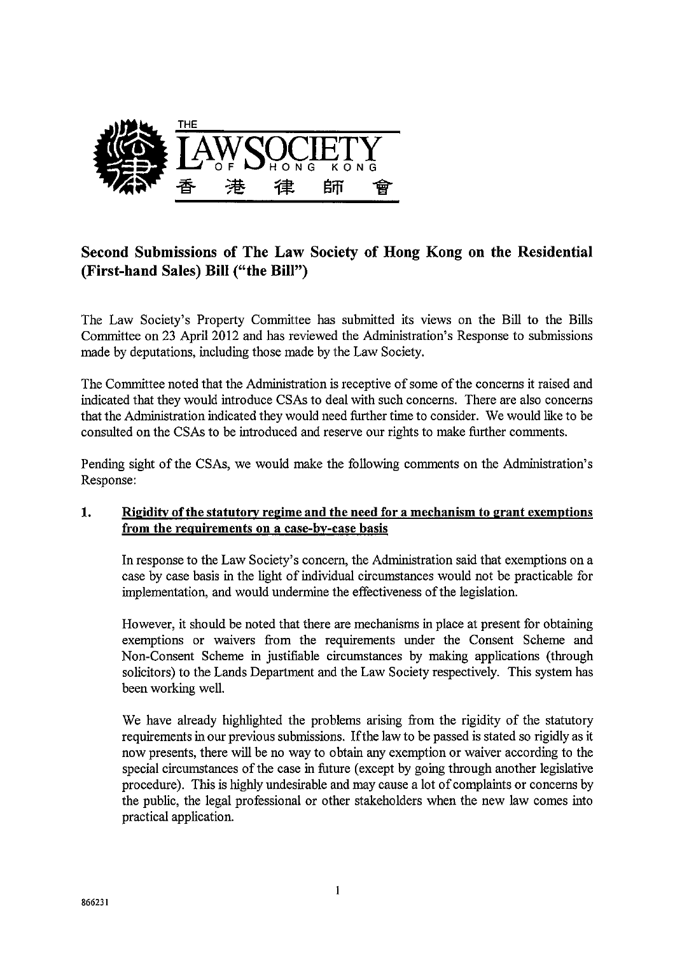

# Second Submissions of The Law Society of Hong Kong on the Residential (First-hand Sales) Bill ("the Bill")

The Law Society's Property Committee has submitted its views on the Bill to the Bills Committee on 23 April 2012 and has reviewed the Administration's Response to submissions made by deputations, including those made by the Law Society.

The Committee noted that the Administration is receptive of some of the concerns it raised and indicated that they would introduce CSAs to deal with such concerns. There are also concerns that the Administration indicated they would need further time to consider. We would like to be consulted on the CSAs to be introduced and reserve our rights to make further comments.

Pending sight of the CSAs, we would make the following comments on the Administration's Response:

# 1. Rigidity of the statutory regime and the need for a mechanism to grant exemptions from the requirements on a case-by-case basis

In response to the Law Society's concern, the Administration said that exemptions on a case by case basis in the light of individual circumstances would not be practicable for implementation, and would undermine the effectiveness of the legislation.

However, it should be noted that there are mechanisms in place at present for obtaining exemptions or waivers from the requirements under the Consent Scheme and Non-Consent Scheme in justifiable circumstances by making applications (through solicitors) to the Lands Department and the Law Society respectively. This system has been working well

We have already highlighted the problems arising from the rigidity of the statutory requirements in our previous submissions. Ifthe law to be passed is stated so rigidly as it now presents, there will be no way to 0 btain any exemption or waiver according to the special circumstances of the case in future (except by going through another legislative procedure). This is highly undesirable and may cause a lot of complaints or concerns by the public, the legal professional or other stakeholders when the new law comes into practical application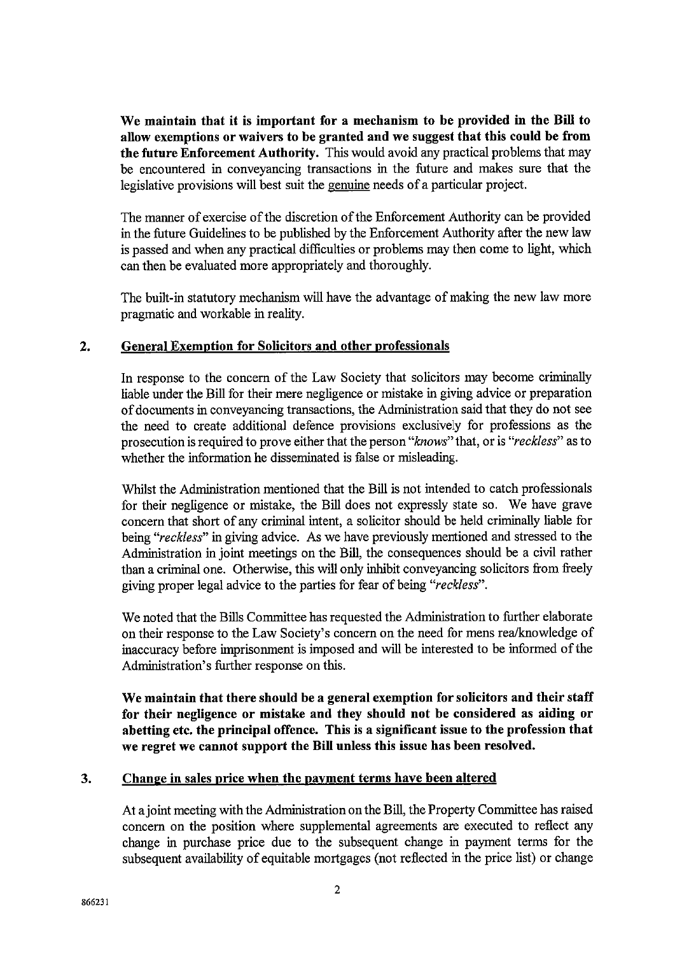We maintain that it is important for a mechanism to be provided in the Bill to allow exemptions or waivers to be granted and we suggest that this could be from the future Enforcement Authority. This would avoid any practical problems that may be encountered in conveyancing transactions in the future and makes sure that the legislative provisions will best suit the genuine needs of a particular project.

The manner of exercise of the discretion of the Enforcement Authority can be provided in the future Guidelines to be published by the Enforcement Authority after the new law is passed and when any practical difficulties or problems may then come to light, which can then be evaluated more appropriately and thoroughly.

The built-in statutory mechanism will have the advantage of making the new law more pragmatic and workable in reality.

### **General Exemption for Solicitors and other professionals**  $2.$

In response to the concern of the Law Society that solicitors may become criminally liable under the Bill for their mere negligence or mistake in giving advice or preparation of documents in conveyancing transactions, the Administration said that they do not see the need to create additional defence provisions exclusively for professions as the prosecution is required to prove either that the person "knows" that, or is "reckless" as to whether the information he disseminated is false or misleading.

Whilst the Administration mentioned that the Bill is not intended to catch professionals for their negligence or mistake, the Bill does not expressly state so. We have grave concern that short of any criminal intent, a solicitor should be held criminally liable for being "reckless" in giving advice. As we have previously mentioned and stressed to the Administration in joint meetings on the Bill, the consequences should be a civil rather than a criminal one. Otherwise, this will only inhibit conveyancing solicitors from freely giving proper legal advice to the parties for fear of being "reckless".

We noted that the Bills Committee has requested the Administration to further elaborate on their response to the Law Society's concern on the need for mens rea/knowledge of inaccuracy before imprisonment is imposed and will be interested to be informed of the Administration's further response on this.

We maintain that there should be a general exemption for solicitors and their staff for their negligence or mistake and they should not be considered as aiding or abetting etc. the principal offence. This is a significant issue to the profession that we regret we cannot support the Bill unless this issue has been resolved.

### $3.$ Change in sales price when the payment terms have been altered

At a joint meeting with the Administration on the Bill, the Property Committee has raised concern on the position where supplemental agreements are executed to reflect any change in purchase price due to the subsequent change in payment terms for the subsequent availability of equitable mortgages (not reflected in the price list) or change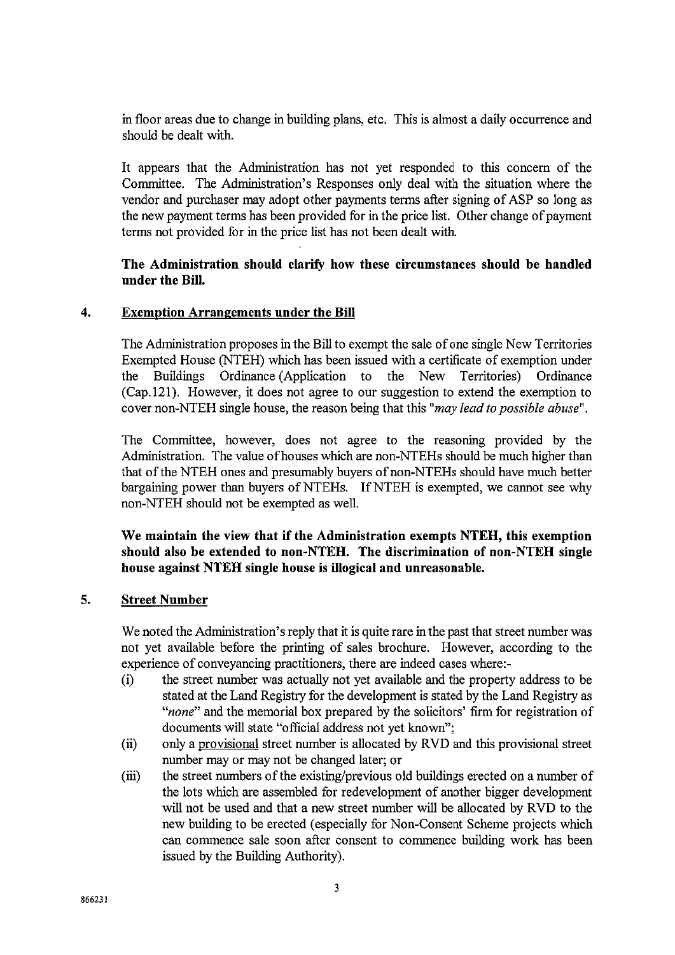in floor areas due to change in building plans, etc. This is almost a daily occurrence and should be dealt with.

It appears that the Administration has not yet responded to this concern of the Committee. The Administration's Responses only deal with the situation where the vendor and purchaser may adopt other payments terms after signing of ASP so long as the new payment terms has been provided for in the price list. Other change of payment terms not provided for in the price list has not been dealt with.

## The Administration should clarify how these circumstances should be handled under the Bill.

#### $\overline{4}$ . **Exemption Arrangements under the Bill**

The Administration proposes in the Bill to exempt the sale of one single New Territories Exempted House (NTEH) which has been issued with a certificate of exemption under the Buildings Ordinance (Application to the New Territories) Ordinance (Cap. 121). However, it does not agree to our suggestion to extend the exemption to cover non-NTEH single house, the reason being that this "may lead to possible abuse".

The Committee, however, does not agree to the reasoning provided by the Administration. The value of houses which are non-NTEHs should be much higher than that of the NTEH ones and presumably buyers of non-NTEHs should have much better bargaining power than buyers of NTEHs. If NTEH is exempted, we cannot see why non-NTEH should not be exempted as well.

We maintain the view that if the Administration exempts NTEH, this exemption should also be extended to non-NTEH. The discrimination of non-NTEH single house against NTEH single house is illogical and unreasonable.

#### $\overline{5}$ . **Street Number**

We noted the Administration's reply that it is quite rare in the past that street number was not yet available before the printing of sales brochure. However, according to the experience of conveyancing practitioners, there are indeed cases where:-

- the street number was actually not yet available and the property address to be  $(i)$ stated at the Land Registry for the development is stated by the Land Registry as "none" and the memorial box prepared by the solicitors' firm for registration of documents will state "official address not yet known";
- only a provisional street number is allocated by RVD and this provisional street  $(ii)$ number may or may not be changed later; or
- the street numbers of the existing/previous old buildings erected on a number of  $(iii)$ the lots which are assembled for redevelopment of another bigger development will not be used and that a new street number will be allocated by RVD to the new building to be erected (especially for Non-Consent Scheme projects which can commence sale soon after consent to commence building work has been issued by the Building Authority).